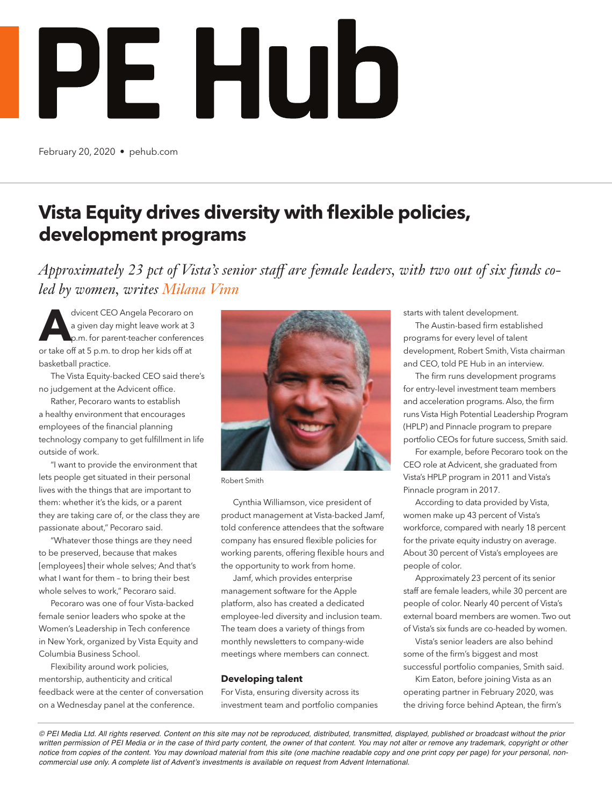

February 20, 2020 • pehub.com

## **Vista Equity drives diversity with flexible policies, development programs**

*Approximately 23 pct of Vista's senior staff are female leaders, with two out of six funds coled by women, writes Milana Vinn*

**A**dvicent CEO Angela Pecoraro on a given day might leave work at 3 p.m. for parent-teacher conferences or take off at 5 p.m. to drop her kids off at basketball practice.

The Vista Equity-backed CEO said there's no judgement at the Advicent office.

Rather, Pecoraro wants to establish a healthy environment that encourages employees of the financial planning technology company to get fulfillment in life outside of work.

"I want to provide the environment that lets people get situated in their personal lives with the things that are important to them: whether it's the kids, or a parent they are taking care of, or the class they are passionate about," Pecoraro said.

"Whatever those things are they need to be preserved, because that makes [employees] their whole selves; And that's what I want for them – to bring their best whole selves to work," Pecoraro said.

Pecoraro was one of four Vista-backed female senior leaders who spoke at the Women's Leadership in Tech conference in New York, organized by Vista Equity and Columbia Business School.

Flexibility around work policies, mentorship, authenticity and critical feedback were at the center of conversation on a Wednesday panel at the conference.



Robert Smith

Cynthia Williamson, vice president of product management at Vista-backed Jamf, told conference attendees that the software company has ensured flexible policies for working parents, offering flexible hours and the opportunity to work from home.

Jamf, which provides enterprise management software for the Apple platform, also has created a dedicated employee-led diversity and inclusion team. The team does a variety of things from monthly newsletters to company-wide meetings where members can connect.

## **Developing talent**

For Vista, ensuring diversity across its investment team and portfolio companies starts with talent development.

The Austin-based firm established programs for every level of talent development, Robert Smith, Vista chairman and CEO, told PE Hub in an interview.

The firm runs development programs for entry-level investment team members and acceleration programs. Also, the firm runs Vista High Potential Leadership Program (HPLP) and Pinnacle program to prepare portfolio CEOs for future success, Smith said.

For example, before Pecoraro took on the CEO role at Advicent, she graduated from Vista's HPLP program in 2011 and Vista's Pinnacle program in 2017.

According to data provided by Vista, women make up 43 percent of Vista's workforce, compared with nearly 18 percent for the private equity industry on average. About 30 percent of Vista's employees are people of color.

Approximately 23 percent of its senior staff are female leaders, while 30 percent are people of color. Nearly 40 percent of Vista's external board members are women. Two out of Vista's six funds are co-headed by women.

Vista's senior leaders are also behind some of the firm's biggest and most successful portfolio companies, Smith said.

Kim Eaton, before joining Vista as an operating partner in February 2020, was the driving force behind Aptean, the firm's

*© PEI Media Ltd. All rights reserved. Content on this site may not be reproduced, distributed, transmitted, displayed, published or broadcast without the prior*  written permission of PEI Media or in the case of third party content, the owner of that content. You may not alter or remove any trademark, copyright or other *notice from copies of the content. You may download material from this site (one machine readable copy and one print copy per page) for your personal, non*commercial use only. A complete list of Advent's investments is available on request from Advent International.